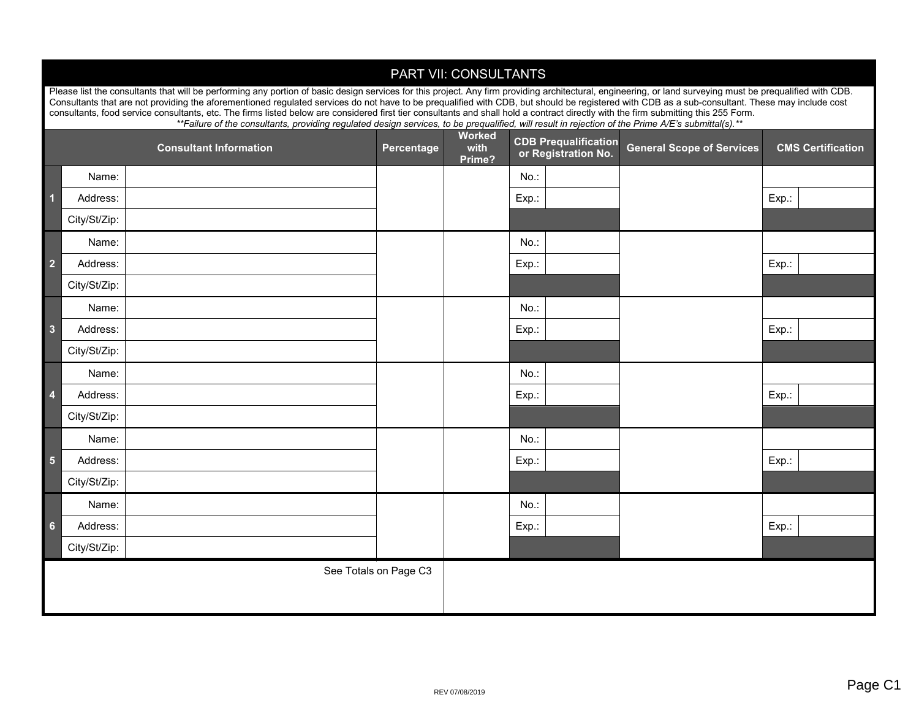| PART VII: CONSULTANTS                                                                                                                                                                                                                                                                                                                     |                                                                                                                                                                                                                                                                                                                                                                                                               |  |            |                |                             |                                  |                          |
|-------------------------------------------------------------------------------------------------------------------------------------------------------------------------------------------------------------------------------------------------------------------------------------------------------------------------------------------|---------------------------------------------------------------------------------------------------------------------------------------------------------------------------------------------------------------------------------------------------------------------------------------------------------------------------------------------------------------------------------------------------------------|--|------------|----------------|-----------------------------|----------------------------------|--------------------------|
|                                                                                                                                                                                                                                                                                                                                           | Please list the consultants that will be performing any portion of basic design services for this project. Any firm providing architectural, engineering, or land surveying must be prequalified with CDB.<br>Consultants that are not providing the aforementioned regulated services do not have to be prequalified with CDB, but should be registered with CDB as a sub-consultant. These may include cost |  |            |                |                             |                                  |                          |
| consultants, food service consultants, etc. The firms listed below are considered first tier consultants and shall hold a contract directly with the firm submitting this 255 Form.<br>**Failure of the consultants, providing regulated design services, to be prequalified, will result in rejection of the Prime A/E's submittal(s).** |                                                                                                                                                                                                                                                                                                                                                                                                               |  |            |                |                             |                                  |                          |
| <b>Consultant Information</b>                                                                                                                                                                                                                                                                                                             |                                                                                                                                                                                                                                                                                                                                                                                                               |  | Percentage | Worked<br>with | <b>CDB Prequalification</b> | <b>General Scope of Services</b> | <b>CMS Certification</b> |
|                                                                                                                                                                                                                                                                                                                                           |                                                                                                                                                                                                                                                                                                                                                                                                               |  |            | Prime?         | or Registration No.         |                                  |                          |
|                                                                                                                                                                                                                                                                                                                                           | Name:                                                                                                                                                                                                                                                                                                                                                                                                         |  |            |                | $No.$ :                     |                                  |                          |
| 1                                                                                                                                                                                                                                                                                                                                         | Address:                                                                                                                                                                                                                                                                                                                                                                                                      |  |            |                | Exp.:                       |                                  | Exp.                     |
|                                                                                                                                                                                                                                                                                                                                           | City/St/Zip:                                                                                                                                                                                                                                                                                                                                                                                                  |  |            |                |                             |                                  |                          |
|                                                                                                                                                                                                                                                                                                                                           | Name:                                                                                                                                                                                                                                                                                                                                                                                                         |  |            |                | No.                         |                                  |                          |
| $\overline{2}$                                                                                                                                                                                                                                                                                                                            | Address:                                                                                                                                                                                                                                                                                                                                                                                                      |  |            |                | Exp.:                       |                                  | Exp.:                    |
|                                                                                                                                                                                                                                                                                                                                           | City/St/Zip:                                                                                                                                                                                                                                                                                                                                                                                                  |  |            |                |                             |                                  |                          |
|                                                                                                                                                                                                                                                                                                                                           | Name:                                                                                                                                                                                                                                                                                                                                                                                                         |  |            |                | $No.$ :                     |                                  |                          |
| $\overline{\mathbf{3}}$                                                                                                                                                                                                                                                                                                                   | Address:                                                                                                                                                                                                                                                                                                                                                                                                      |  |            |                | Exp.:                       |                                  | Exp.:                    |
|                                                                                                                                                                                                                                                                                                                                           | City/St/Zip:                                                                                                                                                                                                                                                                                                                                                                                                  |  |            |                |                             |                                  |                          |
|                                                                                                                                                                                                                                                                                                                                           | Name:                                                                                                                                                                                                                                                                                                                                                                                                         |  |            |                | $No.$ :                     |                                  |                          |
| $\overline{4}$                                                                                                                                                                                                                                                                                                                            | Address:                                                                                                                                                                                                                                                                                                                                                                                                      |  |            |                | Exp.:                       |                                  | Exp.:                    |
|                                                                                                                                                                                                                                                                                                                                           | City/St/Zip:                                                                                                                                                                                                                                                                                                                                                                                                  |  |            |                |                             |                                  |                          |
|                                                                                                                                                                                                                                                                                                                                           | Name:                                                                                                                                                                                                                                                                                                                                                                                                         |  |            |                | $No.$ :                     |                                  |                          |
| $5\phantom{1}$                                                                                                                                                                                                                                                                                                                            | Address:                                                                                                                                                                                                                                                                                                                                                                                                      |  |            |                | Exp.:                       |                                  | Exp.:                    |
|                                                                                                                                                                                                                                                                                                                                           | City/St/Zip:                                                                                                                                                                                                                                                                                                                                                                                                  |  |            |                |                             |                                  |                          |
|                                                                                                                                                                                                                                                                                                                                           | Name:                                                                                                                                                                                                                                                                                                                                                                                                         |  |            |                | No.:                        |                                  |                          |
| 6                                                                                                                                                                                                                                                                                                                                         | Address:                                                                                                                                                                                                                                                                                                                                                                                                      |  |            |                | Exp.:                       |                                  | Exp.:                    |
|                                                                                                                                                                                                                                                                                                                                           | City/St/Zip:                                                                                                                                                                                                                                                                                                                                                                                                  |  |            |                |                             |                                  |                          |
| See Totals on Page C3                                                                                                                                                                                                                                                                                                                     |                                                                                                                                                                                                                                                                                                                                                                                                               |  |            |                |                             |                                  |                          |
|                                                                                                                                                                                                                                                                                                                                           |                                                                                                                                                                                                                                                                                                                                                                                                               |  |            |                |                             |                                  |                          |
|                                                                                                                                                                                                                                                                                                                                           |                                                                                                                                                                                                                                                                                                                                                                                                               |  |            |                |                             |                                  |                          |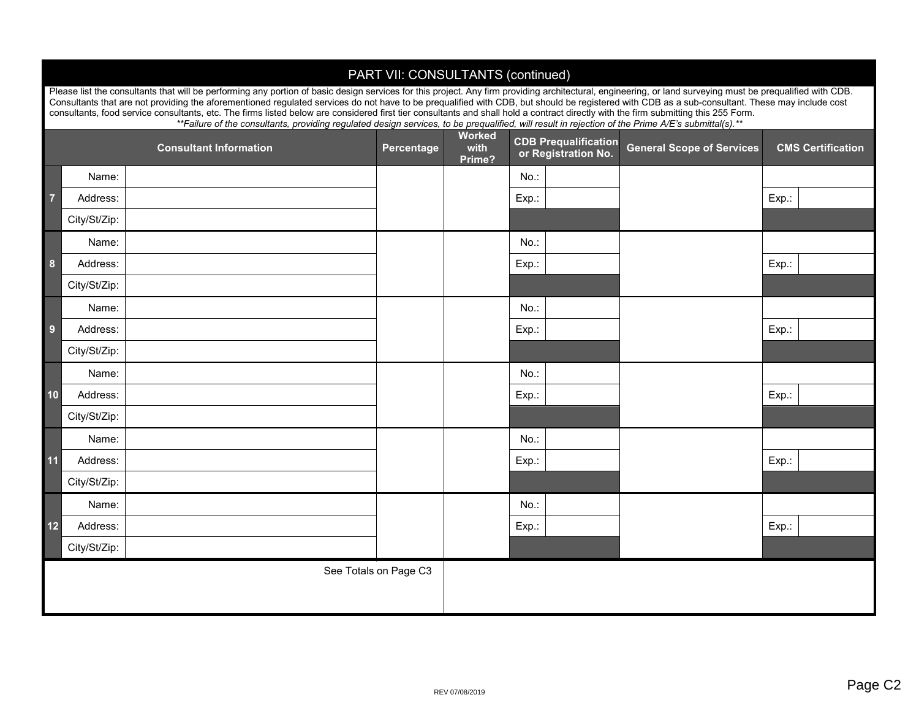## PART VII: CONSULTANTS (continued)

Please list the consultants that will be performing any portion of basic design services for this project. Any firm providing architectural, engineering, or land surveying must be prequalified with CDB. Consultants that are not providing the aforementioned regulated services do not have to be prequalified with CDB, but should be registered with CDB as a sub-consultant. These may include cost consultants, food service consultants, etc. The firms listed below are considered first tier consultants and shall hold a contract directly with the firm submitting this 255 Form. *\*\*Failure of the consultants, providing regulated design services, to be prequalified, will result in rejection of the Prime A/E's submittal(s).\*\**

|                       |              | <b>Consultant Information</b> | Percentage | <b>Worked</b><br>with<br>Prime? | <b>CDB Prequalification</b><br>or Registration No. | <b>General Scope of Services</b> | <b>CMS Certification</b> |
|-----------------------|--------------|-------------------------------|------------|---------------------------------|----------------------------------------------------|----------------------------------|--------------------------|
|                       | Name:        |                               |            |                                 | No.:                                               |                                  |                          |
| $\overline{7}$        | Address:     |                               |            |                                 | Exp.:                                              |                                  | Exp.:                    |
|                       | City/St/Zip: |                               |            |                                 |                                                    |                                  |                          |
| 8                     | Name:        |                               |            |                                 | No.:                                               |                                  |                          |
|                       | Address:     |                               |            |                                 | Exp.:                                              |                                  | Exp.:                    |
|                       | City/St/Zip: |                               |            |                                 |                                                    |                                  |                          |
| $\overline{9}$        | Name:        |                               |            |                                 | No.:                                               |                                  |                          |
|                       | Address:     |                               |            |                                 | Exp.:                                              |                                  | Exp.:                    |
|                       | City/St/Zip: |                               |            |                                 |                                                    |                                  |                          |
| 10                    | Name:        |                               |            |                                 | No.:                                               |                                  |                          |
|                       | Address:     |                               |            |                                 | Exp.:                                              |                                  | Exp.:                    |
|                       | City/St/Zip: |                               |            |                                 |                                                    |                                  |                          |
| 11                    | Name:        |                               |            |                                 | No.:                                               |                                  |                          |
|                       | Address:     |                               |            |                                 | Exp.:                                              |                                  | Exp.:                    |
|                       | City/St/Zip: |                               |            |                                 |                                                    |                                  |                          |
| 12                    | Name:        |                               |            |                                 | No.:                                               |                                  |                          |
|                       | Address:     |                               |            |                                 | Exp.:                                              |                                  | Exp.:                    |
|                       | City/St/Zip: |                               |            |                                 |                                                    |                                  |                          |
| See Totals on Page C3 |              |                               |            |                                 |                                                    |                                  |                          |
|                       |              |                               |            |                                 |                                                    |                                  |                          |
|                       |              |                               |            |                                 |                                                    |                                  |                          |